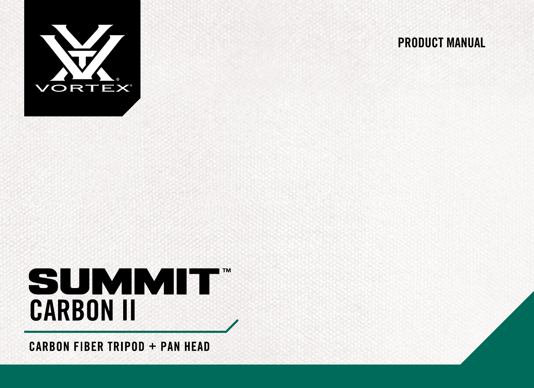

#### PRODUCT MANUAL

# **SUMMIT CARBON II**

**CARBON FIBER TRIPOD + PAN HEAD**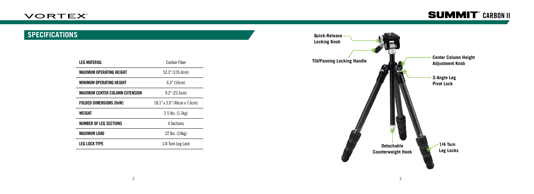## **SPECIFICATIONS**

| LEG MATERIAL                    | <b>Carbon Fiber</b>         |
|---------------------------------|-----------------------------|
| <b>MAXIMUM OPERATING HEIGHT</b> | 53.3" (135.4cm)             |
| MINIMUM OPFRATING HEIGHT        | $6.3"$ (16cm)               |
| MAXIMUM CENTER COLUMN EXTENSION | 9.3" (23.5cm)               |
| <b>FOLDED DIMENSIONS (HxW)</b>  | 18.1" x 3.0" (46cm x 7.6cm) |
| <b>WFIGHT</b>                   | $2.5$ lbs. $(1.1kg)$        |
| NUMBER OF LEG SECTIONS          | 4 Sections                  |
| MAXIMUM LOAD                    | 22 lbs. (10kg)              |
| LEG LOCK TYPE                   | 1/4 Turn Leg Lock           |

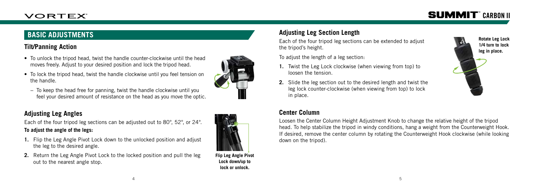### **BASIC ADJUSTMENTS**

#### **Tilt/Panning Action**

- To unlock the tripod head, twist the handle counter-clockwise until the head moves freely. Adjust to your desired position and lock the tripod head.
- To lock the tripod head, twist the handle clockwise until you feel tension on the handle.



− To keep the head free for panning, twist the handle clockwise until you feel your desired amount of resistance on the head as you move the optic.

#### **Adjusting Leg Angles**

Each of the four tripod leg sections can be adjusted out to 80°, 52°, or 24°. **To adjust the angle of the legs:**

- **1.** Flip the Leg Angle Pivot Lock down to the unlocked position and adjust the leg to the desired angle.
- **2.** Return the Leg Angle Pivot Lock to the locked position and pull the leg out to the nearest angle stop.



## **Adjusting Leg Section Length**

Each of the four tripod leg sections can be extended to adjust the tripod's height.

To adjust the length of a leg section:

- **1.** Twist the Leg Lock clockwise (when viewing from top) to loosen the tension.
- **2.** Slide the leg section out to the desired length and twist the leg lock counter-clockwise (when viewing from top) to lock in place.



#### **Center Column**

Loosen the Center Column Height Adjustment Knob to change the relative height of the tripod head. To help stabilize the tripod in windy conditions, hang a weight from the Counterweight Hook. If desired, remove the center column by rotating the Counterweight Hook clockwise (while looking down on the tripod).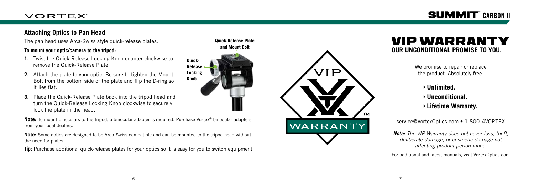### **VORTEX**

## **SUMMIT**® CARBON II

#### **Attaching Optics to Pan Head**

The pan head uses Arca-Swiss style quick-release plates.

#### **To mount your optic/camera to the tripod:**

- **1.** Twist the Quick-Release Locking Knob counter-clockwise to remove the Quick-Release Plate.
- **2.** Attach the plate to your optic. Be sure to tighten the Mount Bolt from the bottom side of the plate and flip the D-ring so it lies flat.
- **3.** Place the Quick-Release Plate back into the tripod head and turn the Quick-Release Locking Knob clockwise to securely lock the plate in the head.

**Note:** To mount binoculars to the tripod, a binocular adapter is required. Purchase Vortex ® binocular adapters from your local dealers.

**Quick-Release Locking Knob**

**Note:** Some optics are designed to be Arca-Swiss compatible and can be mounted to the tripod head without the need for plates.

**Tip:** Purchase additional quick-release plates for your optics so it is easy for you to switch equipment.





## VIP WARRANTY **OUR UNCONDITIONAL PROMISE TO YOU.**

We promise to repair or replace the product. Absolutely free.

**Unlimited. Unconditional. Lifetime Warranty.**

service@VortexOptics.com • 1-800-4VORTEX

*Note: The VIP Warranty does not cover loss, theft, deliberate damage, or cosmetic damage not affecting product performance.*

For additional and latest manuals, visit VortexOptics.com